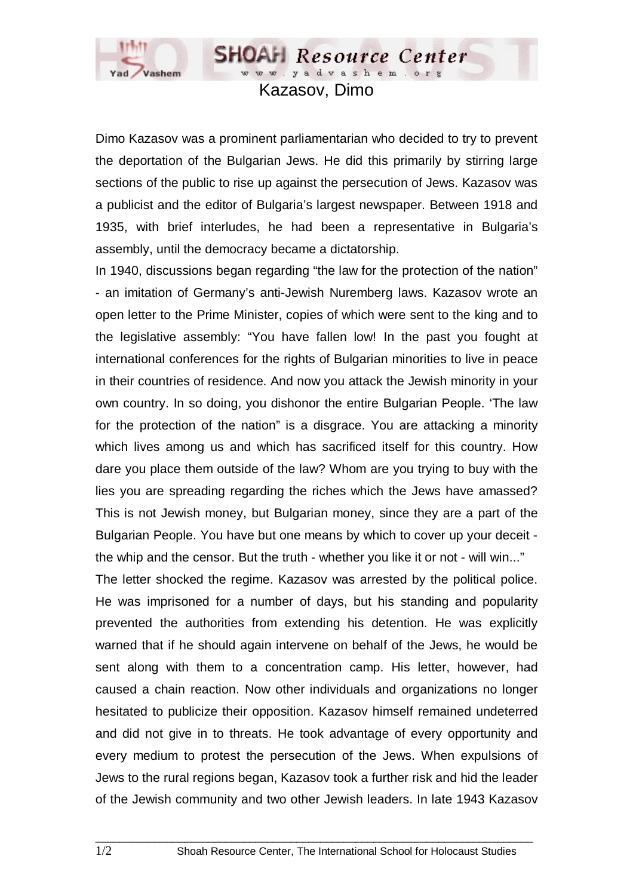

Kazasov, Dimo

**SHOAH** Resource Center www.yadvashem.org

Dimo Kazasov was a prominent parliamentarian who decided to try to prevent the deportation of the Bulgarian Jews. He did this primarily by stirring large sections of the public to rise up against the persecution of Jews. Kazasov was a publicist and the editor of Bulgaria's largest newspaper. Between 1918 and 1935, with brief interludes, he had been a representative in Bulgaria's assembly, until the democracy became a dictatorship.

In 1940, discussions began regarding "the law for the protection of the nation" - an imitation of Germany's anti-Jewish Nuremberg laws. Kazasov wrote an open letter to the Prime Minister, copies of which were sent to the king and to the legislative assembly: "You have fallen low! In the past you fought at international conferences for the rights of Bulgarian minorities to live in peace in their countries of residence. And now you attack the Jewish minority in your own country. In so doing, you dishonor the entire Bulgarian People. 'The law for the protection of the nation" is a disgrace. You are attacking a minority which lives among us and which has sacrificed itself for this country. How dare you place them outside of the law? Whom are you trying to buy with the lies you are spreading regarding the riches which the Jews have amassed? This is not Jewish money, but Bulgarian money, since they are a part of the Bulgarian People. You have but one means by which to cover up your deceit the whip and the censor. But the truth - whether you like it or not - will win..."

The letter shocked the regime. Kazasov was arrested by the political police. He was imprisoned for a number of days, but his standing and popularity prevented the authorities from extending his detention. He was explicitly warned that if he should again intervene on behalf of the Jews, he would be sent along with them to a concentration camp. His letter, however, had caused a chain reaction. Now other individuals and organizations no longer hesitated to publicize their opposition. Kazasov himself remained undeterred and did not give in to threats. He took advantage of every opportunity and every medium to protest the persecution of the Jews. When expulsions of Jews to the rural regions began, Kazasov took a further risk and hid the leader of the Jewish community and two other Jewish leaders. In late 1943 Kazasov

 $\_$  ,  $\_$  ,  $\_$  ,  $\_$  ,  $\_$  ,  $\_$  ,  $\_$  ,  $\_$  ,  $\_$  ,  $\_$  ,  $\_$  ,  $\_$  ,  $\_$  ,  $\_$  ,  $\_$  ,  $\_$  ,  $\_$  ,  $\_$  ,  $\_$